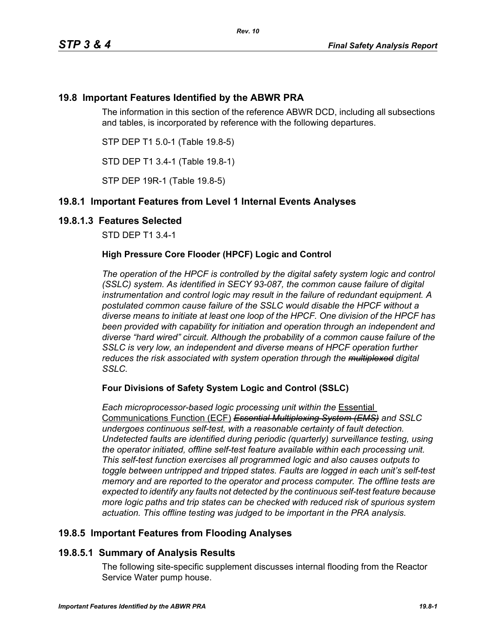# **19.8 Important Features Identified by the ABWR PRA**

The information in this section of the reference ABWR DCD, including all subsections and tables, is incorporated by reference with the following departures.

STP DEP T1 5.0-1 (Table 19.8-5)

STD DEP T1 3.4-1 (Table 19.8-1)

STP DEP 19R-1 (Table 19.8-5)

# **19.8.1 Important Features from Level 1 Internal Events Analyses**

### **19.8.1.3 Features Selected**

STD DEP T1 3.4-1

### **High Pressure Core Flooder (HPCF) Logic and Control**

*The operation of the HPCF is controlled by the digital safety system logic and control (SSLC) system. As identified in SECY 93-087, the common cause failure of digital instrumentation and control logic may result in the failure of redundant equipment. A postulated common cause failure of the SSLC would disable the HPCF without a diverse means to initiate at least one loop of the HPCF. One division of the HPCF has been provided with capability for initiation and operation through an independent and diverse "hard wired" circuit. Although the probability of a common cause failure of the SSLC is very low, an independent and diverse means of HPCF operation further reduces the risk associated with system operation through the multiplexed digital SSLC.*

### **Four Divisions of Safety System Logic and Control (SSLC)**

*Each microprocessor-based logic processing unit within the* Essential Communications Function (ECF) *Essential Multiplexing System (EMS) and SSLC undergoes continuous self-test, with a reasonable certainty of fault detection. Undetected faults are identified during periodic (quarterly) surveillance testing, using the operator initiated, offline self-test feature available within each processing unit. This self-test function exercises all programmed logic and also causes outputs to toggle between untripped and tripped states. Faults are logged in each unit's self-test memory and are reported to the operator and process computer. The offline tests are expected to identify any faults not detected by the continuous self-test feature because more logic paths and trip states can be checked with reduced risk of spurious system actuation. This offline testing was judged to be important in the PRA analysis.*

# **19.8.5 Important Features from Flooding Analyses**

# **19.8.5.1 Summary of Analysis Results**

The following site-specific supplement discusses internal flooding from the Reactor Service Water pump house.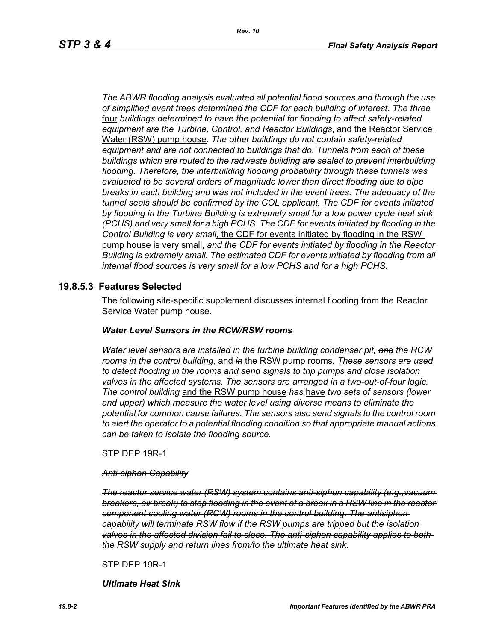*The ABWR flooding analysis evaluated all potential flood sources and through the use of simplified event trees determined the CDF for each building of interest. The three* four *buildings determined to have the potential for flooding to affect safety-related equipment are the Turbine, Control, and Reactor Buildings*, and the Reactor Service Water (RSW) pump house*. The other buildings do not contain safety-related equipment and are not connected to buildings that do. Tunnels from each of these buildings which are routed to the radwaste building are sealed to prevent interbuilding flooding. Therefore, the interbuilding flooding probability through these tunnels was evaluated to be several orders of magnitude lower than direct flooding due to pipe breaks in each building and was not included in the event trees. The adequacy of the tunnel seals should be confirmed by the COL applicant. The CDF for events initiated by flooding in the Turbine Building is extremely small for a low power cycle heat sink (PCHS) and very small for a high PCHS. The CDF for events initiated by flooding in the Control Building is very small*, the CDF for events initiated by flooding in the RSW pump house is very small, *and the CDF for events initiated by flooding in the Reactor Building is extremely small. The estimated CDF for events initiated by flooding from all internal flood sources is very small for a low PCHS and for a high PCHS.*

### **19.8.5.3 Features Selected**

The following site-specific supplement discusses internal flooding from the Reactor Service Water pump house.

#### *Water Level Sensors in the RCW/RSW rooms*

*Water level sensors are installed in the turbine building condenser pit, and the RCW rooms in the control building,* and *in* the RSW pump rooms*. These sensors are used to detect flooding in the rooms and send signals to trip pumps and close isolation valves in the affected systems. The sensors are arranged in a two-out-of-four logic. The control building* and the RSW pump house *has* have *two sets of sensors (lower and upper) which measure the water level using diverse means to eliminate the potential for common cause failures. The sensors also send signals to the control room to alert the operator to a potential flooding condition so that appropriate manual actions can be taken to isolate the flooding source.*

STP DEP 19R-1

#### *Anti-siphon Capability*

*The reactor service water (RSW) system contains anti-siphon capability (e.g.,vacuum breakers, air break) to stop flooding in the event of a break in a RSW line in the reactor component cooling water (RCW) rooms in the control building. The antisiphon capability will terminate RSW flow if the RSW pumps are tripped but the isolation valves in the affected division fail to close. The anti-siphon capability applies to both the RSW supply and return lines from/to the ultimate heat sink.*

STP DEP 19R-1

*Ultimate Heat Sink*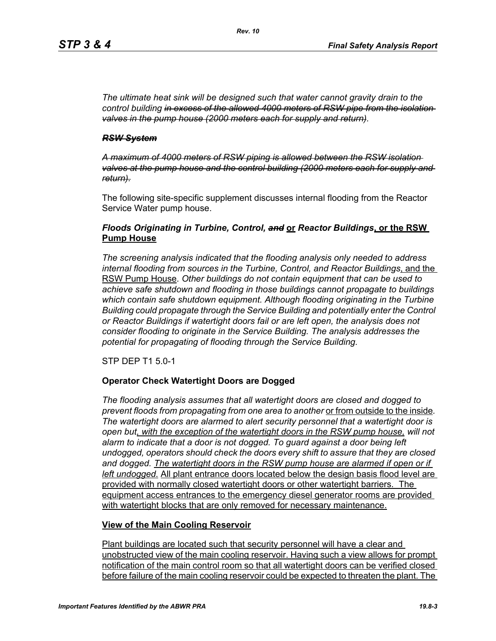*The ultimate heat sink will be designed such that water cannot gravity drain to the control building in excess of the allowed 4000 meters of RSW pipe from the isolation valves in the pump house (2000 meters each for supply and return).*

#### *RSW System*

*A maximum of 4000 meters of RSW piping is allowed between the RSW isolation valves at the pump house and the control building (2000 meters each for supply and return).*

The following site-specific supplement discusses internal flooding from the Reactor Service Water pump house.

### *Floods Originating in Turbine, Control, and* **or** *Reactor Buildings***, or the RSW Pump House**

*The screening analysis indicated that the flooding analysis only needed to address internal flooding from sources in the Turbine, Control, and Reactor Buildings*, and the RSW Pump House. *Other buildings do not contain equipment that can be used to achieve safe shutdown and flooding in those buildings cannot propagate to buildings which contain safe shutdown equipment. Although flooding originating in the Turbine Building could propagate through the Service Building and potentially enter the Control or Reactor Buildings if watertight doors fail or are left open, the analysis does not consider flooding to originate in the Service Building. The analysis addresses the potential for propagating of flooding through the Service Building.*

STP DEP T1 5.0-1

### **Operator Check Watertight Doors are Dogged**

*The flooding analysis assumes that all watertight doors are closed and dogged to prevent floods from propagating from one area to another* or from outside to the inside*. The watertight doors are alarmed to alert security personnel that a watertight door is open but, with the exception of the watertight doors in the RSW pump house, will not alarm to indicate that a door is not dogged. To guard against a door being left undogged, operators should check the doors every shift to assure that they are closed*  and dogged. The watertight doors in the RSW pump house are alarmed if open or if *left undogged.* All plant entrance doors located below the design basis flood level are provided with normally closed watertight doors or other watertight barriers. The equipment access entrances to the emergency diesel generator rooms are provided with watertight blocks that are only removed for necessary maintenance.

### **View of the Main Cooling Reservoir**

Plant buildings are located such that security personnel will have a clear and unobstructed view of the main cooling reservoir. Having such a view allows for prompt notification of the main control room so that all watertight doors can be verified closed before failure of the main cooling reservoir could be expected to threaten the plant. The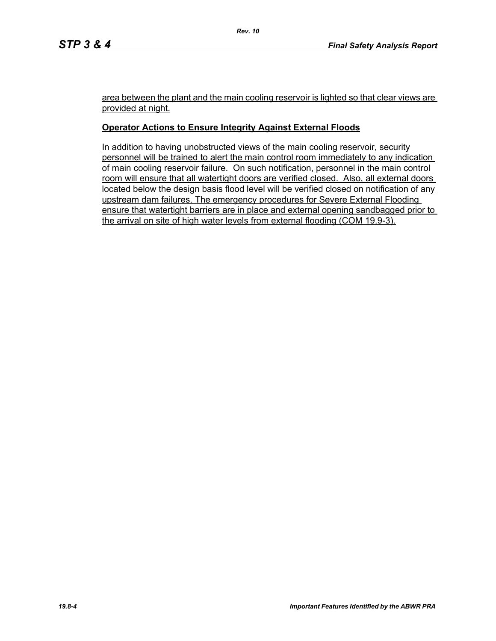area between the plant and the main cooling reservoir is lighted so that clear views are provided at night.

### **Operator Actions to Ensure Integrity Against External Floods**

In addition to having unobstructed views of the main cooling reservoir, security personnel will be trained to alert the main control room immediately to any indication of main cooling reservoir failure. On such notification, personnel in the main control room will ensure that all watertight doors are verified closed. Also, all external doors located below the design basis flood level will be verified closed on notification of any upstream dam failures. The emergency procedures for Severe External Flooding ensure that watertight barriers are in place and external opening sandbagged prior to the arrival on site of high water levels from external flooding (COM 19.9-3).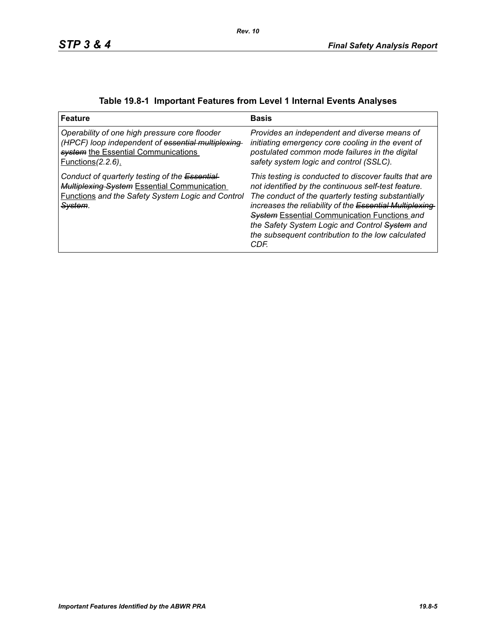| <b>Feature</b>                                                                                                                                                                   | <b>Basis</b>                                                                                                                                                                                                                                                                                                                                                                                         |
|----------------------------------------------------------------------------------------------------------------------------------------------------------------------------------|------------------------------------------------------------------------------------------------------------------------------------------------------------------------------------------------------------------------------------------------------------------------------------------------------------------------------------------------------------------------------------------------------|
| Operability of one high pressure core flooder<br>(HPCF) loop independent of essential multiplexing-<br>system the Essential Communications<br><u>Functions (2.2.6).</u>          | Provides an independent and diverse means of<br>initiating emergency core cooling in the event of<br>postulated common mode failures in the digital<br>safety system logic and control (SSLC).                                                                                                                                                                                                       |
| Conduct of quarterly testing of the Essential-<br>Multiplexing System Essential Communication<br><b>Functions and the Safety System Logic and Control</b><br><del>System</del> . | This testing is conducted to discover faults that are<br>not identified by the continuous self-test feature.<br>The conduct of the quarterly testing substantially<br>increases the reliability of the Essential Multiplexing-<br><b>System Essential Communication Functions and</b><br>the Safety System Logic and Control System and<br>the subsequent contribution to the low calculated<br>CDF. |